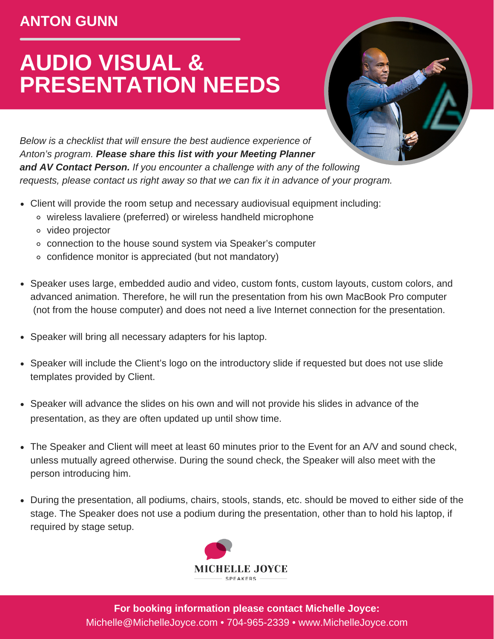## **ANTON GUNN**

## **AUDIO VISUAL & PRESENTATION NEEDS**



*Below is a checklist that will ensure the best audience experience of Anton's program. Please share this list with your Meeting Planner and AV Contact Person. If you encounter a challenge with any of the following requests, please contact us right away so that we can fix it in advance of your program.*

- Client will provide the room setup and necessary audiovisual equipment including:
	- wireless lavaliere (preferred) or wireless handheld microphone
	- video projector
	- connection to the house sound system via Speaker's computer
	- confidence monitor is appreciated (but not mandatory)
- Speaker uses large, embedded audio and video, custom fonts, custom layouts, custom colors, and advanced animation. Therefore, he will run the presentation from his own MacBook Pro computer (not from the house computer) and does not need a live Internet connection for the presentation.
- Speaker will bring all necessary adapters for his laptop.
- Speaker will include the Client's logo on the introductory slide if requested but does not use slide templates provided by Client.
- Speaker will advance the slides on his own and will not provide his slides in advance of the presentation, as they are often updated up until show time.
- The Speaker and Client will meet at least 60 minutes prior to the Event for an A/V and sound check, unless mutually agreed otherwise. During the sound check, the Speaker will also meet with the person introducing him.
- During the presentation, all podiums, chairs, stools, stands, etc. should be moved to either side of the stage. The Speaker does not use a podium during the presentation, other than to hold his laptop, if required by stage setup.



**For booking information please contact Michelle Joyce:** Michelle@MichelleJoyce.com • 704-965-2339 • www.MichelleJoyce.com